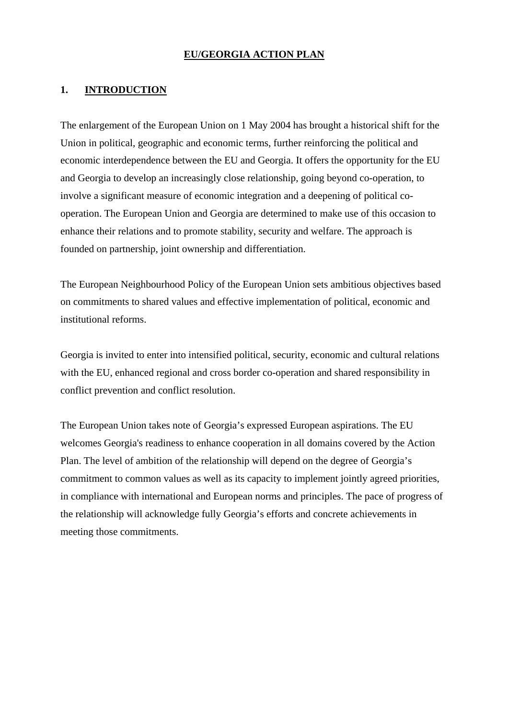#### **EU/GEORGIA ACTION PLAN**

#### **1. INTRODUCTION**

The enlargement of the European Union on 1 May 2004 has brought a historical shift for the Union in political, geographic and economic terms, further reinforcing the political and economic interdependence between the EU and Georgia. It offers the opportunity for the EU and Georgia to develop an increasingly close relationship, going beyond co-operation, to involve a significant measure of economic integration and a deepening of political cooperation. The European Union and Georgia are determined to make use of this occasion to enhance their relations and to promote stability, security and welfare. The approach is founded on partnership, joint ownership and differentiation.

The European Neighbourhood Policy of the European Union sets ambitious objectives based on commitments to shared values and effective implementation of political, economic and institutional reforms.

Georgia is invited to enter into intensified political, security, economic and cultural relations with the EU, enhanced regional and cross border co-operation and shared responsibility in conflict prevention and conflict resolution.

The European Union takes note of Georgia's expressed European aspirations. The EU welcomes Georgia's readiness to enhance cooperation in all domains covered by the Action Plan. The level of ambition of the relationship will depend on the degree of Georgia's commitment to common values as well as its capacity to implement jointly agreed priorities, in compliance with international and European norms and principles. The pace of progress of the relationship will acknowledge fully Georgia's efforts and concrete achievements in meeting those commitments.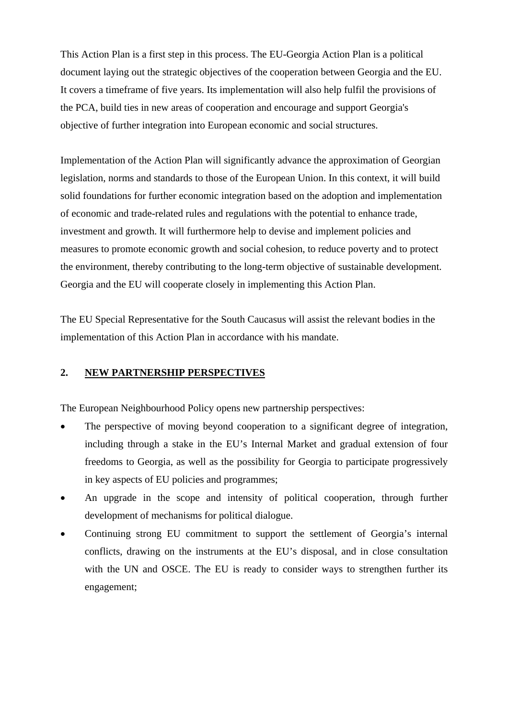This Action Plan is a first step in this process. The EU-Georgia Action Plan is a political document laying out the strategic objectives of the cooperation between Georgia and the EU. It covers a timeframe of five years. Its implementation will also help fulfil the provisions of the PCA, build ties in new areas of cooperation and encourage and support Georgia's objective of further integration into European economic and social structures.

Implementation of the Action Plan will significantly advance the approximation of Georgian legislation, norms and standards to those of the European Union. In this context, it will build solid foundations for further economic integration based on the adoption and implementation of economic and trade-related rules and regulations with the potential to enhance trade, investment and growth. It will furthermore help to devise and implement policies and measures to promote economic growth and social cohesion, to reduce poverty and to protect the environment, thereby contributing to the long-term objective of sustainable development. Georgia and the EU will cooperate closely in implementing this Action Plan.

The EU Special Representative for the South Caucasus will assist the relevant bodies in the implementation of this Action Plan in accordance with his mandate.

#### **2. NEW PARTNERSHIP PERSPECTIVES**

The European Neighbourhood Policy opens new partnership perspectives:

- The perspective of moving beyond cooperation to a significant degree of integration, including through a stake in the EU's Internal Market and gradual extension of four freedoms to Georgia, as well as the possibility for Georgia to participate progressively in key aspects of EU policies and programmes;
- An upgrade in the scope and intensity of political cooperation, through further development of mechanisms for political dialogue.
- Continuing strong EU commitment to support the settlement of Georgia's internal conflicts, drawing on the instruments at the EU's disposal, and in close consultation with the UN and OSCE. The EU is ready to consider ways to strengthen further its engagement;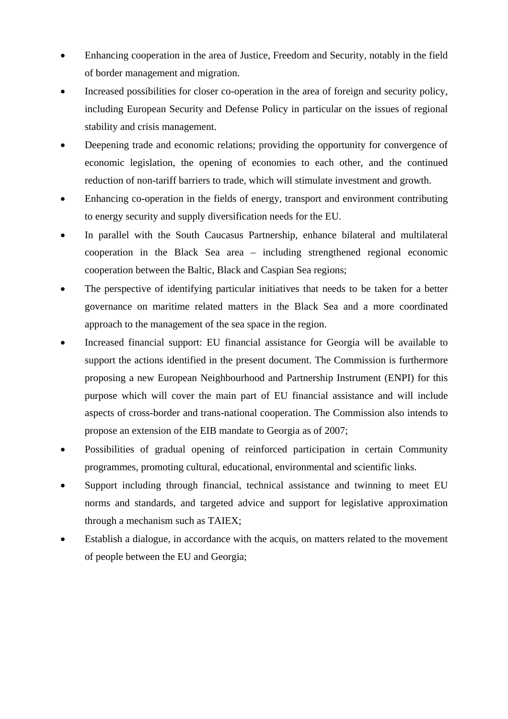- Enhancing cooperation in the area of Justice, Freedom and Security, notably in the field of border management and migration.
- Increased possibilities for closer co-operation in the area of foreign and security policy, including European Security and Defense Policy in particular on the issues of regional stability and crisis management.
- Deepening trade and economic relations; providing the opportunity for convergence of economic legislation, the opening of economies to each other, and the continued reduction of non-tariff barriers to trade, which will stimulate investment and growth.
- Enhancing co-operation in the fields of energy, transport and environment contributing to energy security and supply diversification needs for the EU.
- In parallel with the South Caucasus Partnership, enhance bilateral and multilateral cooperation in the Black Sea area – including strengthened regional economic cooperation between the Baltic, Black and Caspian Sea regions;
- The perspective of identifying particular initiatives that needs to be taken for a better governance on maritime related matters in the Black Sea and a more coordinated approach to the management of the sea space in the region.
- Increased financial support: EU financial assistance for Georgia will be available to support the actions identified in the present document. The Commission is furthermore proposing a new European Neighbourhood and Partnership Instrument (ENPI) for this purpose which will cover the main part of EU financial assistance and will include aspects of cross-border and trans-national cooperation. The Commission also intends to propose an extension of the EIB mandate to Georgia as of 2007;
- Possibilities of gradual opening of reinforced participation in certain Community programmes, promoting cultural, educational, environmental and scientific links.
- Support including through financial, technical assistance and twinning to meet EU norms and standards, and targeted advice and support for legislative approximation through a mechanism such as TAIEX;
- Establish a dialogue, in accordance with the acquis, on matters related to the movement of people between the EU and Georgia;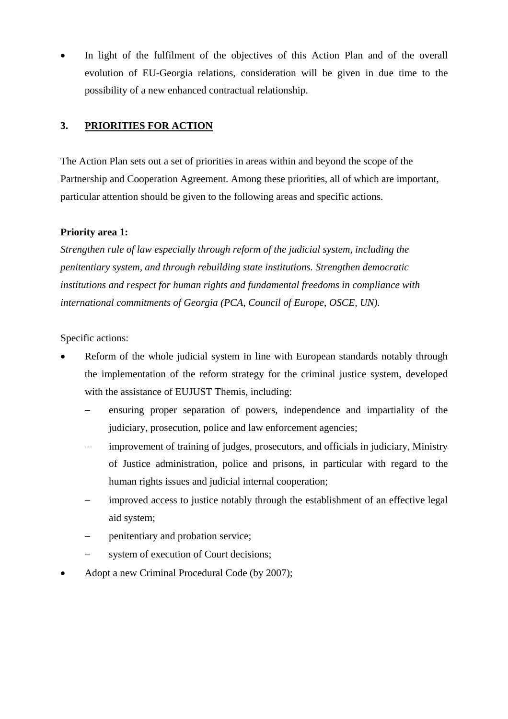In light of the fulfilment of the objectives of this Action Plan and of the overall evolution of EU-Georgia relations, consideration will be given in due time to the possibility of a new enhanced contractual relationship.

## **3. PRIORITIES FOR ACTION**

The Action Plan sets out a set of priorities in areas within and beyond the scope of the Partnership and Cooperation Agreement. Among these priorities, all of which are important, particular attention should be given to the following areas and specific actions.

#### **Priority area 1:**

*Strengthen rule of law especially through reform of the judicial system, including the penitentiary system, and through rebuilding state institutions. Strengthen democratic institutions and respect for human rights and fundamental freedoms in compliance with international commitments of Georgia (PCA, Council of Europe, OSCE, UN).* 

Specific actions:

- Reform of the whole judicial system in line with European standards notably through the implementation of the reform strategy for the criminal justice system, developed with the assistance of EUJUST Themis, including:
	- ensuring proper separation of powers, independence and impartiality of the judiciary, prosecution, police and law enforcement agencies;
	- improvement of training of judges, prosecutors, and officials in judiciary, Ministry of Justice administration, police and prisons, in particular with regard to the human rights issues and judicial internal cooperation;
	- improved access to justice notably through the establishment of an effective legal aid system;
	- penitentiary and probation service;
	- system of execution of Court decisions;
- Adopt a new Criminal Procedural Code (by 2007);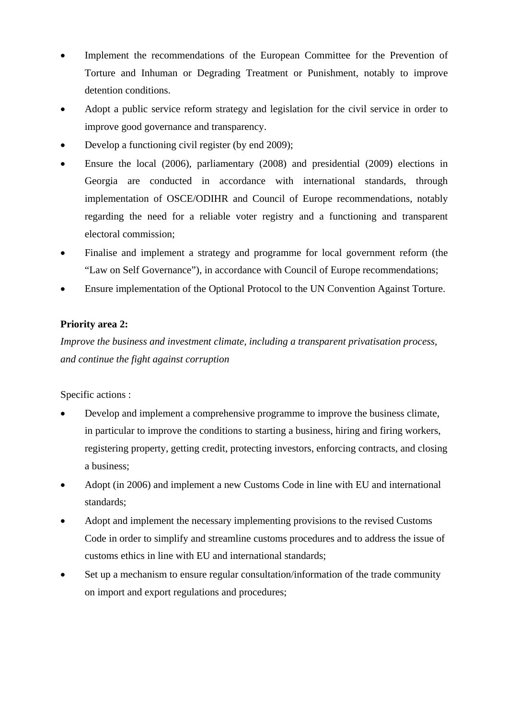- Implement the recommendations of the European Committee for the Prevention of Torture and Inhuman or Degrading Treatment or Punishment, notably to improve detention conditions.
- Adopt a public service reform strategy and legislation for the civil service in order to improve good governance and transparency.
- Develop a functioning civil register (by end 2009);
- Ensure the local (2006), parliamentary (2008) and presidential (2009) elections in Georgia are conducted in accordance with international standards, through implementation of OSCE/ODIHR and Council of Europe recommendations, notably regarding the need for a reliable voter registry and a functioning and transparent electoral commission;
- Finalise and implement a strategy and programme for local government reform (the "Law on Self Governance"), in accordance with Council of Europe recommendations;
- Ensure implementation of the Optional Protocol to the UN Convention Against Torture.

## **Priority area 2:**

*Improve the business and investment climate, including a transparent privatisation process, and continue the fight against corruption* 

Specific actions :

- Develop and implement a comprehensive programme to improve the business climate, in particular to improve the conditions to starting a business, hiring and firing workers, registering property, getting credit, protecting investors, enforcing contracts, and closing a business;
- Adopt (in 2006) and implement a new Customs Code in line with EU and international standards;
- Adopt and implement the necessary implementing provisions to the revised Customs Code in order to simplify and streamline customs procedures and to address the issue of customs ethics in line with EU and international standards;
- Set up a mechanism to ensure regular consultation/information of the trade community on import and export regulations and procedures;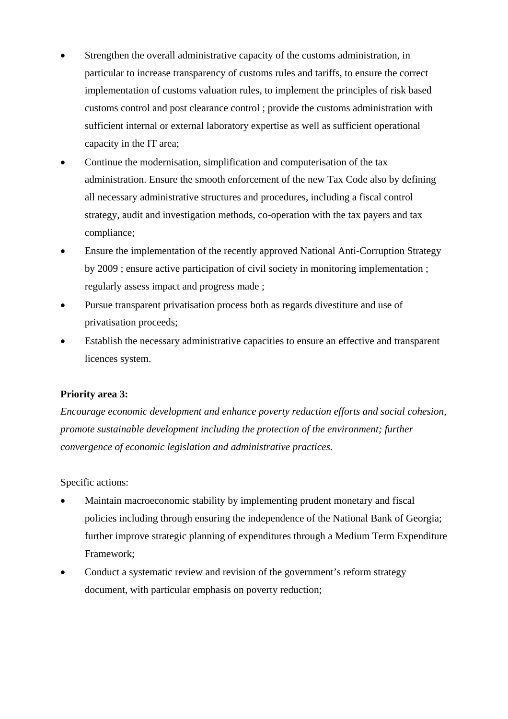- Strengthen the overall administrative capacity of the customs administration, in particular to increase transparency of customs rules and tariffs, to ensure the correct implementation of customs valuation rules, to implement the principles of risk based customs control and post clearance control ; provide the customs administration with sufficient internal or external laboratory expertise as well as sufficient operational capacity in the IT area;
- Continue the modernisation, simplification and computerisation of the tax administration. Ensure the smooth enforcement of the new Tax Code also by defining all necessary administrative structures and procedures, including a fiscal control strategy, audit and investigation methods, co-operation with the tax payers and tax compliance;
- Ensure the implementation of the recently approved National Anti-Corruption Strategy by 2009 ; ensure active participation of civil society in monitoring implementation ; regularly assess impact and progress made ;
- Pursue transparent privatisation process both as regards divestiture and use of privatisation proceeds;
- Establish the necessary administrative capacities to ensure an effective and transparent licences system.

## **Priority area 3:**

*Encourage economic development and enhance poverty reduction efforts and social cohesion, promote sustainable development including the protection of the environment; further convergence of economic legislation and administrative practices.* 

Specific actions:

- Maintain macroeconomic stability by implementing prudent monetary and fiscal policies including through ensuring the independence of the National Bank of Georgia; further improve strategic planning of expenditures through a Medium Term Expenditure Framework;
- Conduct a systematic review and revision of the government's reform strategy document, with particular emphasis on poverty reduction;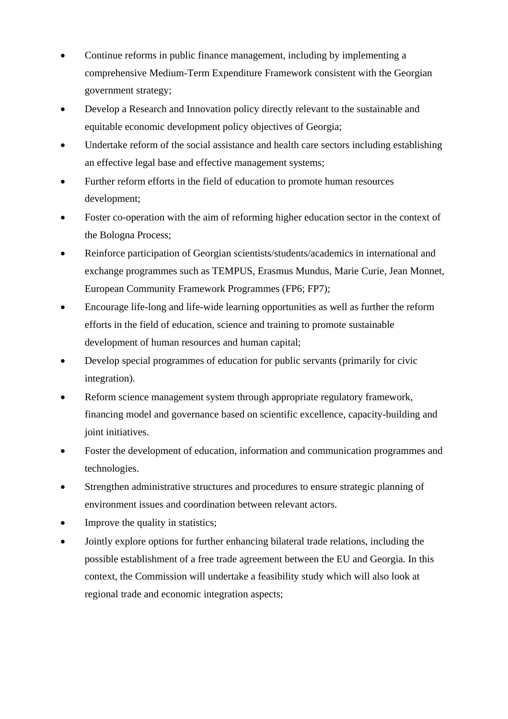- Continue reforms in public finance management, including by implementing a comprehensive Medium-Term Expenditure Framework consistent with the Georgian government strategy;
- Develop a Research and Innovation policy directly relevant to the sustainable and equitable economic development policy objectives of Georgia;
- Undertake reform of the social assistance and health care sectors including establishing an effective legal base and effective management systems;
- Further reform efforts in the field of education to promote human resources development;
- Foster co-operation with the aim of reforming higher education sector in the context of the Bologna Process;
- Reinforce participation of Georgian scientists/students/academics in international and exchange programmes such as TEMPUS, Erasmus Mundus, Marie Curie, Jean Monnet, European Community Framework Programmes (FP6; FP7);
- Encourage life-long and life-wide learning opportunities as well as further the reform efforts in the field of education, science and training to promote sustainable development of human resources and human capital;
- Develop special programmes of education for public servants (primarily for civic integration).
- Reform science management system through appropriate regulatory framework, financing model and governance based on scientific excellence, capacity-building and joint initiatives.
- Foster the development of education, information and communication programmes and technologies.
- Strengthen administrative structures and procedures to ensure strategic planning of environment issues and coordination between relevant actors.
- Improve the quality in statistics;
- Jointly explore options for further enhancing bilateral trade relations, including the possible establishment of a free trade agreement between the EU and Georgia. In this context, the Commission will undertake a feasibility study which will also look at regional trade and economic integration aspects;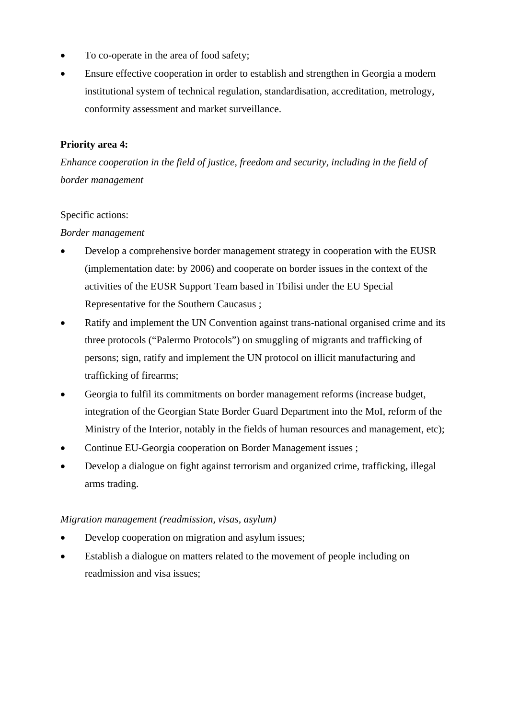- To co-operate in the area of food safety;
- Ensure effective cooperation in order to establish and strengthen in Georgia a modern institutional system of technical regulation, standardisation, accreditation, metrology, conformity assessment and market surveillance.

#### **Priority area 4:**

*Enhance cooperation in the field of justice, freedom and security, including in the field of border management* 

#### Specific actions:

#### *Border management*

- Develop a comprehensive border management strategy in cooperation with the EUSR (implementation date: by 2006) and cooperate on border issues in the context of the activities of the EUSR Support Team based in Tbilisi under the EU Special Representative for the Southern Caucasus ;
- Ratify and implement the UN Convention against trans-national organised crime and its three protocols ("Palermo Protocols") on smuggling of migrants and trafficking of persons; sign, ratify and implement the UN protocol on illicit manufacturing and trafficking of firearms;
- Georgia to fulfil its commitments on border management reforms (increase budget, integration of the Georgian State Border Guard Department into the MoI, reform of the Ministry of the Interior, notably in the fields of human resources and management, etc);
- Continue EU-Georgia cooperation on Border Management issues ;
- Develop a dialogue on fight against terrorism and organized crime, trafficking, illegal arms trading.

#### *Migration management (readmission, visas, asylum)*

- Develop cooperation on migration and asylum issues;
- Establish a dialogue on matters related to the movement of people including on readmission and visa issues;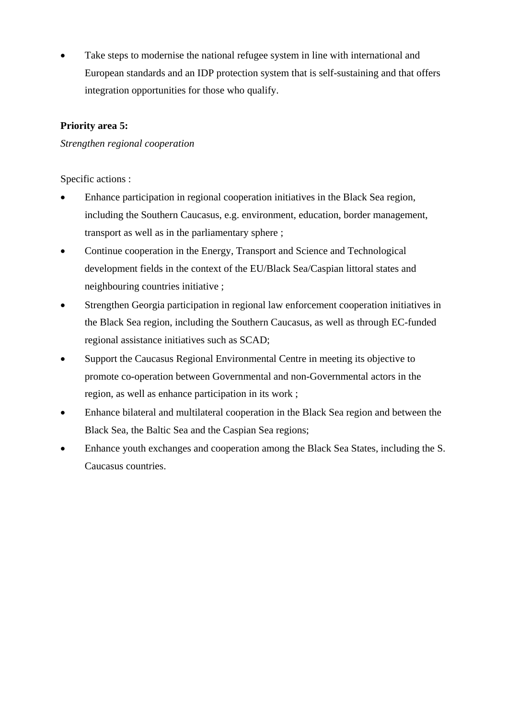Take steps to modernise the national refugee system in line with international and European standards and an IDP protection system that is self-sustaining and that offers integration opportunities for those who qualify.

## **Priority area 5:**

#### *Strengthen regional cooperation*

Specific actions :

- Enhance participation in regional cooperation initiatives in the Black Sea region, including the Southern Caucasus, e.g. environment, education, border management, transport as well as in the parliamentary sphere ;
- Continue cooperation in the Energy, Transport and Science and Technological development fields in the context of the EU/Black Sea/Caspian littoral states and neighbouring countries initiative ;
- Strengthen Georgia participation in regional law enforcement cooperation initiatives in the Black Sea region, including the Southern Caucasus, as well as through EC-funded regional assistance initiatives such as SCAD;
- Support the Caucasus Regional Environmental Centre in meeting its objective to promote co-operation between Governmental and non-Governmental actors in the region, as well as enhance participation in its work ;
- Enhance bilateral and multilateral cooperation in the Black Sea region and between the Black Sea, the Baltic Sea and the Caspian Sea regions;
- Enhance youth exchanges and cooperation among the Black Sea States, including the S. Caucasus countries.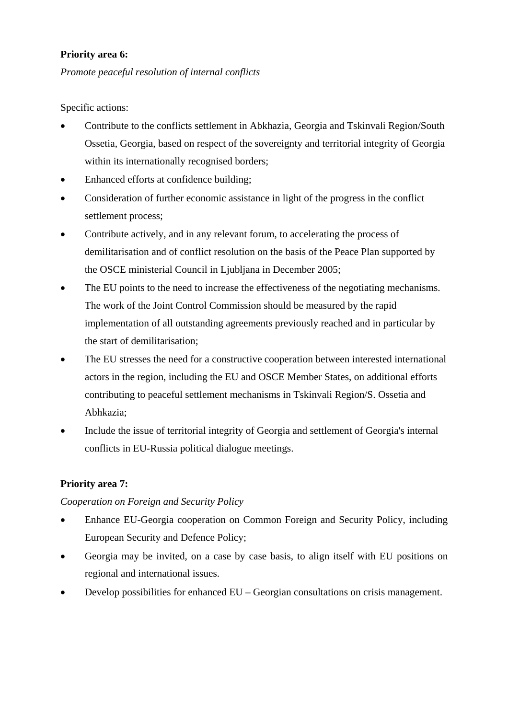#### **Priority area 6:**

*Promote peaceful resolution of internal conflicts* 

Specific actions:

- Contribute to the conflicts settlement in Abkhazia, Georgia and Tskinvali Region/South Ossetia, Georgia, based on respect of the sovereignty and territorial integrity of Georgia within its internationally recognised borders;
- Enhanced efforts at confidence building;
- Consideration of further economic assistance in light of the progress in the conflict settlement process;
- Contribute actively, and in any relevant forum, to accelerating the process of demilitarisation and of conflict resolution on the basis of the Peace Plan supported by the OSCE ministerial Council in Ljubljana in December 2005;
- The EU points to the need to increase the effectiveness of the negotiating mechanisms. The work of the Joint Control Commission should be measured by the rapid implementation of all outstanding agreements previously reached and in particular by the start of demilitarisation;
- The EU stresses the need for a constructive cooperation between interested international actors in the region, including the EU and OSCE Member States, on additional efforts contributing to peaceful settlement mechanisms in Tskinvali Region/S. Ossetia and Abhkazia;
- Include the issue of territorial integrity of Georgia and settlement of Georgia's internal conflicts in EU-Russia political dialogue meetings.

## **Priority area 7:**

#### *Cooperation on Foreign and Security Policy*

- Enhance EU-Georgia cooperation on Common Foreign and Security Policy, including European Security and Defence Policy;
- Georgia may be invited, on a case by case basis, to align itself with EU positions on regional and international issues.
- Develop possibilities for enhanced EU Georgian consultations on crisis management.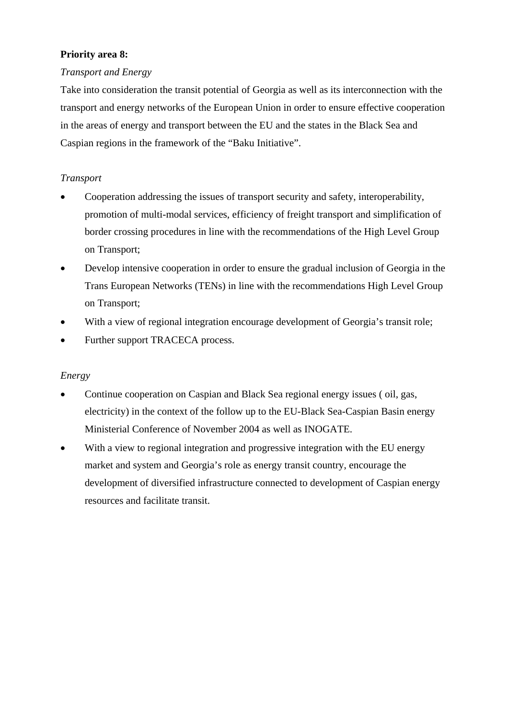## **Priority area 8:**

## *Transport and Energy*

Take into consideration the transit potential of Georgia as well as its interconnection with the transport and energy networks of the European Union in order to ensure effective cooperation in the areas of energy and transport between the EU and the states in the Black Sea and Caspian regions in the framework of the "Baku Initiative".

## *Transport*

- Cooperation addressing the issues of transport security and safety, interoperability, promotion of multi-modal services, efficiency of freight transport and simplification of border crossing procedures in line with the recommendations of the High Level Group on Transport;
- Develop intensive cooperation in order to ensure the gradual inclusion of Georgia in the Trans European Networks (TENs) in line with the recommendations High Level Group on Transport;
- With a view of regional integration encourage development of Georgia's transit role;
- Further support TRACECA process.

## *Energy*

- Continue cooperation on Caspian and Black Sea regional energy issues ( oil, gas, electricity) in the context of the follow up to the EU-Black Sea-Caspian Basin energy Ministerial Conference of November 2004 as well as INOGATE.
- With a view to regional integration and progressive integration with the EU energy market and system and Georgia's role as energy transit country, encourage the development of diversified infrastructure connected to development of Caspian energy resources and facilitate transit.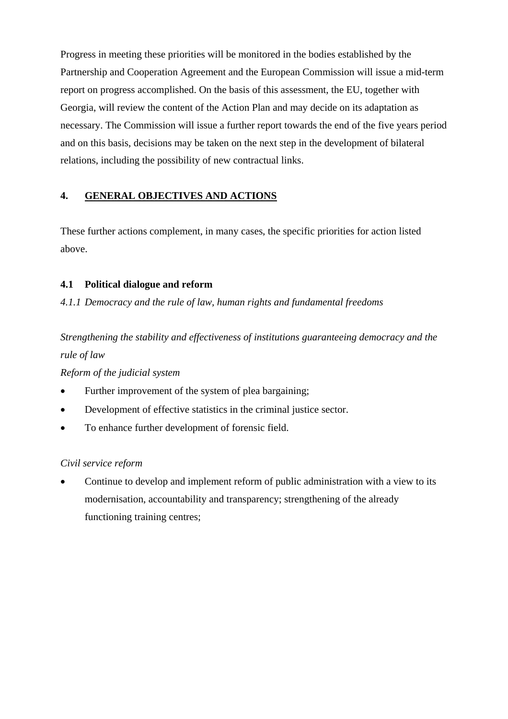Progress in meeting these priorities will be monitored in the bodies established by the Partnership and Cooperation Agreement and the European Commission will issue a mid-term report on progress accomplished. On the basis of this assessment, the EU, together with Georgia, will review the content of the Action Plan and may decide on its adaptation as necessary. The Commission will issue a further report towards the end of the five years period and on this basis, decisions may be taken on the next step in the development of bilateral relations, including the possibility of new contractual links.

## **4. GENERAL OBJECTIVES AND ACTIONS**

These further actions complement, in many cases, the specific priorities for action listed above.

## **4.1 Political dialogue and reform**

*4.1.1 Democracy and the rule of law, human rights and fundamental freedoms* 

*Strengthening the stability and effectiveness of institutions guaranteeing democracy and the rule of law* 

*Reform of the judicial system* 

- Further improvement of the system of plea bargaining;
- Development of effective statistics in the criminal justice sector.
- To enhance further development of forensic field.

## *Civil service reform*

• Continue to develop and implement reform of public administration with a view to its modernisation, accountability and transparency; strengthening of the already functioning training centres;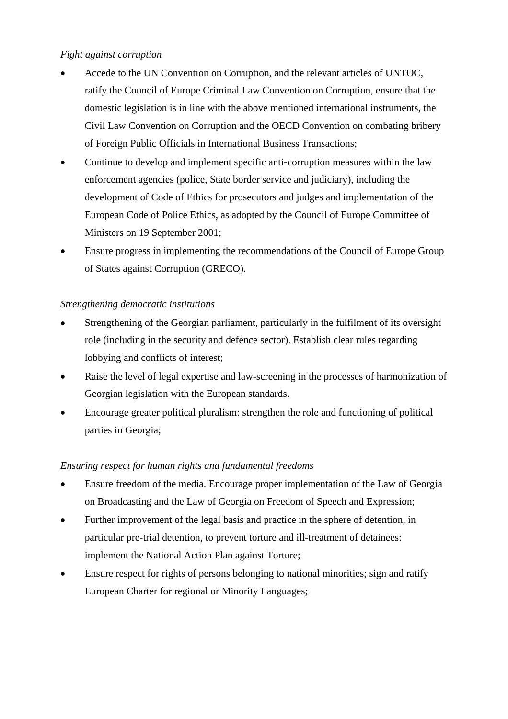## *Fight against corruption*

- Accede to the UN Convention on Corruption, and the relevant articles of UNTOC, ratify the Council of Europe Criminal Law Convention on Corruption, ensure that the domestic legislation is in line with the above mentioned international instruments, the Civil Law Convention on Corruption and the OECD Convention on combating bribery of Foreign Public Officials in International Business Transactions;
- Continue to develop and implement specific anti-corruption measures within the law enforcement agencies (police, State border service and judiciary), including the development of Code of Ethics for prosecutors and judges and implementation of the European Code of Police Ethics, as adopted by the Council of Europe Committee of Ministers on 19 September 2001;
- Ensure progress in implementing the recommendations of the Council of Europe Group of States against Corruption (GRECO).

## *Strengthening democratic institutions*

- Strengthening of the Georgian parliament, particularly in the fulfilment of its oversight role (including in the security and defence sector). Establish clear rules regarding lobbying and conflicts of interest;
- Raise the level of legal expertise and law-screening in the processes of harmonization of Georgian legislation with the European standards.
- Encourage greater political pluralism: strengthen the role and functioning of political parties in Georgia;

## *Ensuring respect for human rights and fundamental freedoms*

- Ensure freedom of the media. Encourage proper implementation of the Law of Georgia on Broadcasting and the Law of Georgia on Freedom of Speech and Expression;
- Further improvement of the legal basis and practice in the sphere of detention, in particular pre-trial detention, to prevent torture and ill-treatment of detainees: implement the National Action Plan against Torture;
- Ensure respect for rights of persons belonging to national minorities; sign and ratify European Charter for regional or Minority Languages;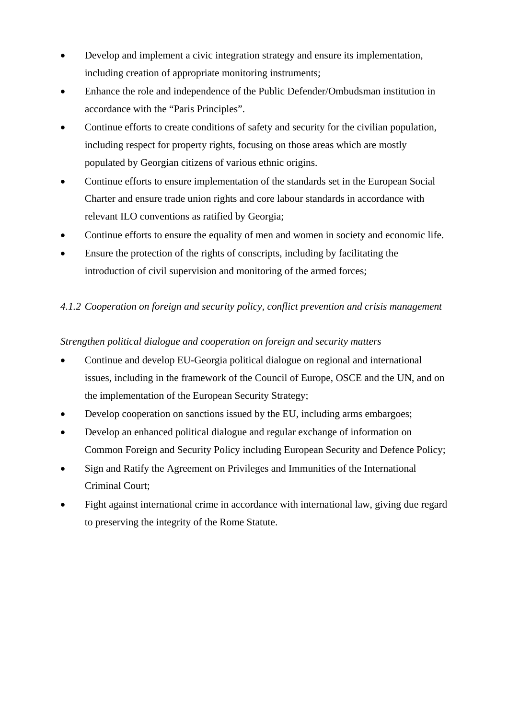- Develop and implement a civic integration strategy and ensure its implementation, including creation of appropriate monitoring instruments;
- Enhance the role and independence of the Public Defender/Ombudsman institution in accordance with the "Paris Principles".
- Continue efforts to create conditions of safety and security for the civilian population, including respect for property rights, focusing on those areas which are mostly populated by Georgian citizens of various ethnic origins.
- Continue efforts to ensure implementation of the standards set in the European Social Charter and ensure trade union rights and core labour standards in accordance with relevant ILO conventions as ratified by Georgia;
- Continue efforts to ensure the equality of men and women in society and economic life.
- Ensure the protection of the rights of conscripts, including by facilitating the introduction of civil supervision and monitoring of the armed forces;

## *4.1.2 Cooperation on foreign and security policy, conflict prevention and crisis management*

## *Strengthen political dialogue and cooperation on foreign and security matters*

- Continue and develop EU-Georgia political dialogue on regional and international issues, including in the framework of the Council of Europe, OSCE and the UN, and on the implementation of the European Security Strategy;
- Develop cooperation on sanctions issued by the EU, including arms embargoes;
- Develop an enhanced political dialogue and regular exchange of information on Common Foreign and Security Policy including European Security and Defence Policy;
- Sign and Ratify the Agreement on Privileges and Immunities of the International Criminal Court;
- Fight against international crime in accordance with international law, giving due regard to preserving the integrity of the Rome Statute.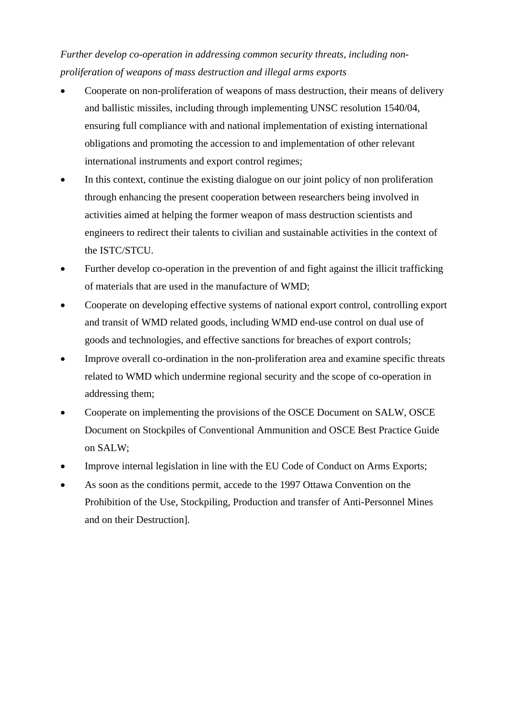*Further develop co-operation in addressing common security threats, including nonproliferation of weapons of mass destruction and illegal arms exports* 

- Cooperate on non-proliferation of weapons of mass destruction, their means of delivery and ballistic missiles, including through implementing UNSC resolution 1540/04, ensuring full compliance with and national implementation of existing international obligations and promoting the accession to and implementation of other relevant international instruments and export control regimes;
- In this context, continue the existing dialogue on our joint policy of non proliferation through enhancing the present cooperation between researchers being involved in activities aimed at helping the former weapon of mass destruction scientists and engineers to redirect their talents to civilian and sustainable activities in the context of the ISTC/STCU.
- Further develop co-operation in the prevention of and fight against the illicit trafficking of materials that are used in the manufacture of WMD;
- Cooperate on developing effective systems of national export control, controlling export and transit of WMD related goods, including WMD end-use control on dual use of goods and technologies, and effective sanctions for breaches of export controls;
- Improve overall co-ordination in the non-proliferation area and examine specific threats related to WMD which undermine regional security and the scope of co-operation in addressing them;
- Cooperate on implementing the provisions of the OSCE Document on SALW, OSCE Document on Stockpiles of Conventional Ammunition and OSCE Best Practice Guide on SALW;
- Improve internal legislation in line with the EU Code of Conduct on Arms Exports;
- As soon as the conditions permit, accede to the 1997 Ottawa Convention on the Prohibition of the Use, Stockpiling, Production and transfer of Anti-Personnel Mines and on their Destruction].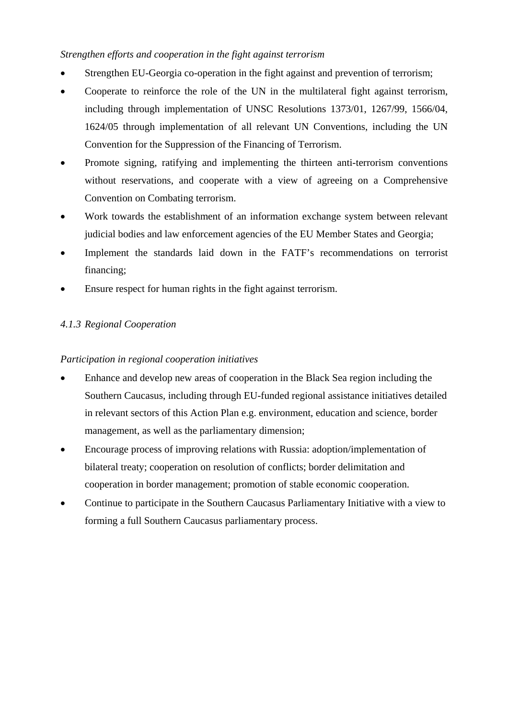## *Strengthen efforts and cooperation in the fight against terrorism*

- Strengthen EU-Georgia co-operation in the fight against and prevention of terrorism;
- Cooperate to reinforce the role of the UN in the multilateral fight against terrorism, including through implementation of UNSC Resolutions 1373/01, 1267/99, 1566/04, 1624/05 through implementation of all relevant UN Conventions, including the UN Convention for the Suppression of the Financing of Terrorism.
- Promote signing, ratifying and implementing the thirteen anti-terrorism conventions without reservations, and cooperate with a view of agreeing on a Comprehensive Convention on Combating terrorism.
- Work towards the establishment of an information exchange system between relevant judicial bodies and law enforcement agencies of the EU Member States and Georgia;
- Implement the standards laid down in the FATF's recommendations on terrorist financing;
- Ensure respect for human rights in the fight against terrorism.

## *4.1.3 Regional Cooperation*

## *Participation in regional cooperation initiatives*

- Enhance and develop new areas of cooperation in the Black Sea region including the Southern Caucasus, including through EU-funded regional assistance initiatives detailed in relevant sectors of this Action Plan e.g. environment, education and science, border management, as well as the parliamentary dimension;
- Encourage process of improving relations with Russia: adoption/implementation of bilateral treaty; cooperation on resolution of conflicts; border delimitation and cooperation in border management; promotion of stable economic cooperation.
- Continue to participate in the Southern Caucasus Parliamentary Initiative with a view to forming a full Southern Caucasus parliamentary process.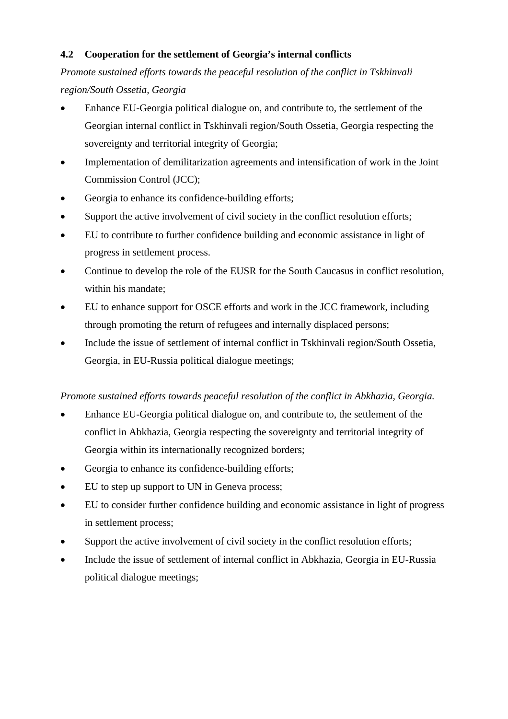## **4.2 Cooperation for the settlement of Georgia's internal conflicts**

*Promote sustained efforts towards the peaceful resolution of the conflict in Tskhinvali region/South Ossetia, Georgia* 

- Enhance EU-Georgia political dialogue on, and contribute to, the settlement of the Georgian internal conflict in Tskhinvali region/South Ossetia, Georgia respecting the sovereignty and territorial integrity of Georgia;
- Implementation of demilitarization agreements and intensification of work in the Joint Commission Control (JCC);
- Georgia to enhance its confidence-building efforts;
- Support the active involvement of civil society in the conflict resolution efforts;
- EU to contribute to further confidence building and economic assistance in light of progress in settlement process.
- Continue to develop the role of the EUSR for the South Caucasus in conflict resolution, within his mandate;
- EU to enhance support for OSCE efforts and work in the JCC framework, including through promoting the return of refugees and internally displaced persons;
- Include the issue of settlement of internal conflict in Tskhinvali region/South Ossetia, Georgia, in EU-Russia political dialogue meetings;

#### *Promote sustained efforts towards peaceful resolution of the conflict in Abkhazia, Georgia.*

- Enhance EU-Georgia political dialogue on, and contribute to, the settlement of the conflict in Abkhazia, Georgia respecting the sovereignty and territorial integrity of Georgia within its internationally recognized borders;
- Georgia to enhance its confidence-building efforts;
- EU to step up support to UN in Geneva process;
- EU to consider further confidence building and economic assistance in light of progress in settlement process;
- Support the active involvement of civil society in the conflict resolution efforts;
- Include the issue of settlement of internal conflict in Abkhazia, Georgia in EU-Russia political dialogue meetings;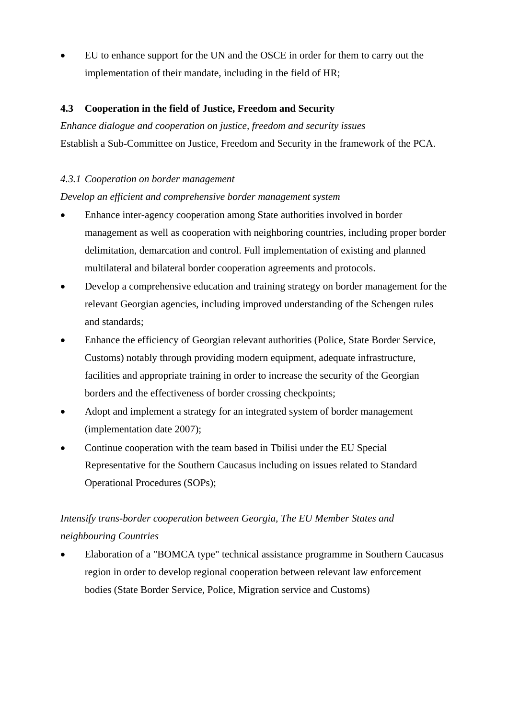• EU to enhance support for the UN and the OSCE in order for them to carry out the implementation of their mandate, including in the field of HR;

## **4.3 Cooperation in the field of Justice, Freedom and Security**

*Enhance dialogue and cooperation on justice, freedom and security issues*  Establish a Sub-Committee on Justice, Freedom and Security in the framework of the PCA.

## *4.3.1 Cooperation on border management*

## *Develop an efficient and comprehensive border management system*

- Enhance inter-agency cooperation among State authorities involved in border management as well as cooperation with neighboring countries, including proper border delimitation, demarcation and control. Full implementation of existing and planned multilateral and bilateral border cooperation agreements and protocols.
- Develop a comprehensive education and training strategy on border management for the relevant Georgian agencies, including improved understanding of the Schengen rules and standards;
- Enhance the efficiency of Georgian relevant authorities (Police, State Border Service, Customs) notably through providing modern equipment, adequate infrastructure, facilities and appropriate training in order to increase the security of the Georgian borders and the effectiveness of border crossing checkpoints;
- Adopt and implement a strategy for an integrated system of border management (implementation date 2007);
- Continue cooperation with the team based in Tbilisi under the EU Special Representative for the Southern Caucasus including on issues related to Standard Operational Procedures (SOPs);

# *Intensify trans-border cooperation between Georgia, The EU Member States and neighbouring Countries*

• Elaboration of a "BOMCA type" technical assistance programme in Southern Caucasus region in order to develop regional cooperation between relevant law enforcement bodies (State Border Service, Police, Migration service and Customs)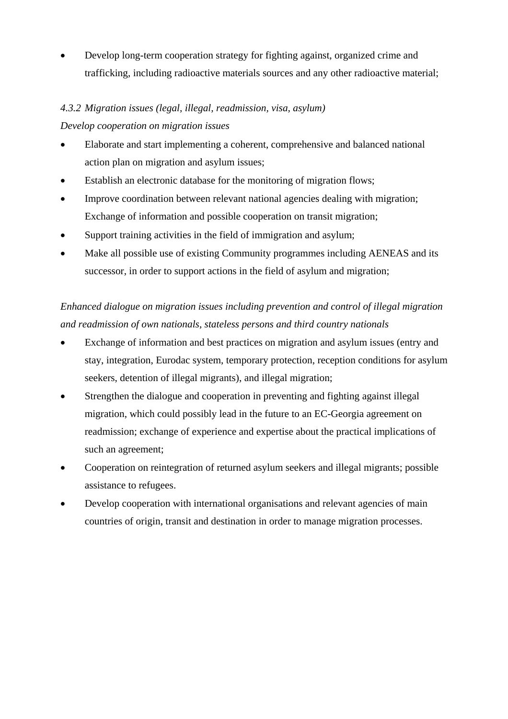• Develop long-term cooperation strategy for fighting against, organized crime and trafficking, including radioactive materials sources and any other radioactive material;

## *4.3.2 Migration issues (legal, illegal, readmission, visa, asylum)*

#### *Develop cooperation on migration issues*

- Elaborate and start implementing a coherent, comprehensive and balanced national action plan on migration and asylum issues;
- Establish an electronic database for the monitoring of migration flows;
- Improve coordination between relevant national agencies dealing with migration; Exchange of information and possible cooperation on transit migration;
- Support training activities in the field of immigration and asylum;
- Make all possible use of existing Community programmes including AENEAS and its successor, in order to support actions in the field of asylum and migration;

# *Enhanced dialogue on migration issues including prevention and control of illegal migration and readmission of own nationals, stateless persons and third country nationals*

- Exchange of information and best practices on migration and asylum issues (entry and stay, integration, Eurodac system, temporary protection, reception conditions for asylum seekers, detention of illegal migrants), and illegal migration;
- Strengthen the dialogue and cooperation in preventing and fighting against illegal migration, which could possibly lead in the future to an EC-Georgia agreement on readmission; exchange of experience and expertise about the practical implications of such an agreement;
- Cooperation on reintegration of returned asylum seekers and illegal migrants; possible assistance to refugees.
- Develop cooperation with international organisations and relevant agencies of main countries of origin, transit and destination in order to manage migration processes.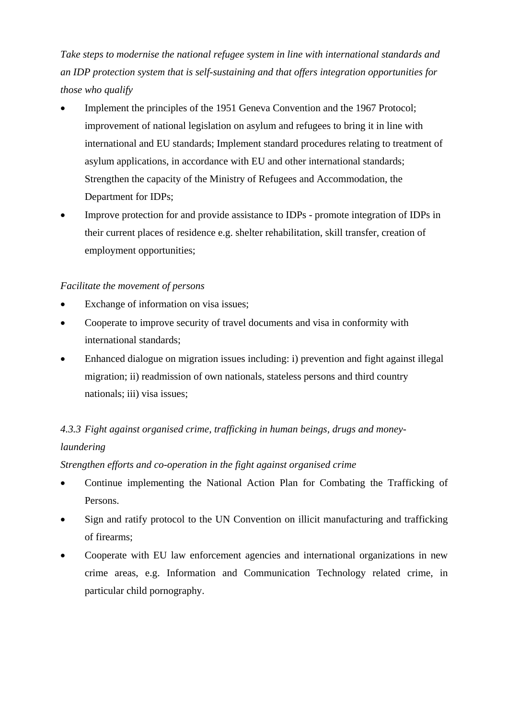*Take steps to modernise the national refugee system in line with international standards and an IDP protection system that is self-sustaining and that offers integration opportunities for those who qualify* 

- Implement the principles of the 1951 Geneva Convention and the 1967 Protocol: improvement of national legislation on asylum and refugees to bring it in line with international and EU standards; Implement standard procedures relating to treatment of asylum applications, in accordance with EU and other international standards; Strengthen the capacity of the Ministry of Refugees and Accommodation, the Department for IDPs;
- Improve protection for and provide assistance to IDPs promote integration of IDPs in their current places of residence e.g. shelter rehabilitation, skill transfer, creation of employment opportunities;

#### *Facilitate the movement of persons*

- Exchange of information on visa issues:
- Cooperate to improve security of travel documents and visa in conformity with international standards;
- Enhanced dialogue on migration issues including: i) prevention and fight against illegal migration; ii) readmission of own nationals, stateless persons and third country nationals; iii) visa issues;

# *4.3.3 Fight against organised crime, trafficking in human beings, drugs and moneylaundering*

*Strengthen efforts and co-operation in the fight against organised crime* 

- Continue implementing the National Action Plan for Combating the Trafficking of Persons.
- Sign and ratify protocol to the UN Convention on illicit manufacturing and trafficking of firearms;
- Cooperate with EU law enforcement agencies and international organizations in new crime areas, e.g. Information and Communication Technology related crime, in particular child pornography.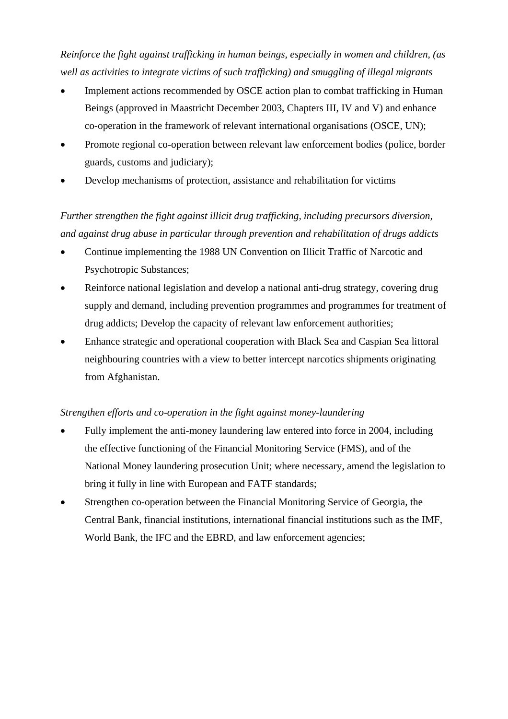*Reinforce the fight against trafficking in human beings, especially in women and children, (as well as activities to integrate victims of such trafficking) and smuggling of illegal migrants* 

- Implement actions recommended by OSCE action plan to combat trafficking in Human Beings (approved in Maastricht December 2003, Chapters III, IV and V) and enhance co-operation in the framework of relevant international organisations (OSCE, UN);
- Promote regional co-operation between relevant law enforcement bodies (police, border guards, customs and judiciary);
- Develop mechanisms of protection, assistance and rehabilitation for victims

# *Further strengthen the fight against illicit drug trafficking, including precursors diversion, and against drug abuse in particular through prevention and rehabilitation of drugs addicts*

- Continue implementing the 1988 UN Convention on Illicit Traffic of Narcotic and Psychotropic Substances;
- Reinforce national legislation and develop a national anti-drug strategy, covering drug supply and demand, including prevention programmes and programmes for treatment of drug addicts; Develop the capacity of relevant law enforcement authorities;
- Enhance strategic and operational cooperation with Black Sea and Caspian Sea littoral neighbouring countries with a view to better intercept narcotics shipments originating from Afghanistan.

## *Strengthen efforts and co-operation in the fight against money-laundering*

- Fully implement the anti-money laundering law entered into force in 2004, including the effective functioning of the Financial Monitoring Service (FMS), and of the National Money laundering prosecution Unit; where necessary, amend the legislation to bring it fully in line with European and FATF standards;
- Strengthen co-operation between the Financial Monitoring Service of Georgia, the Central Bank, financial institutions, international financial institutions such as the IMF, World Bank, the IFC and the EBRD, and law enforcement agencies;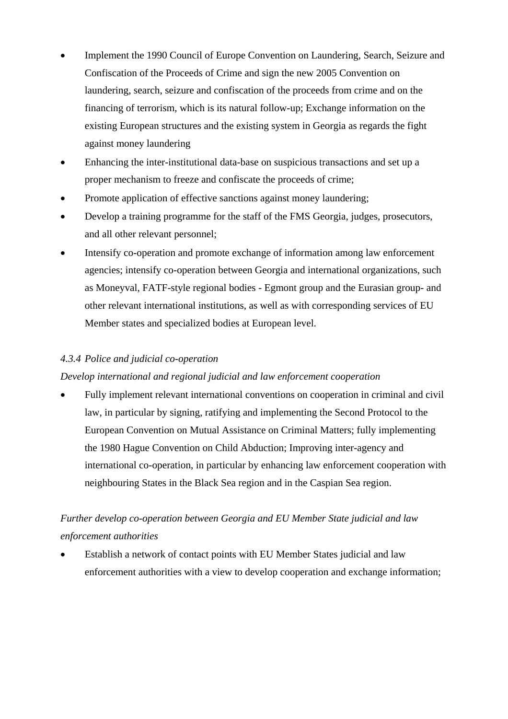- Implement the 1990 Council of Europe Convention on Laundering, Search, Seizure and Confiscation of the Proceeds of Crime and sign the new 2005 Convention on laundering, search, seizure and confiscation of the proceeds from crime and on the financing of terrorism, which is its natural follow-up; Exchange information on the existing European structures and the existing system in Georgia as regards the fight against money laundering
- Enhancing the inter-institutional data-base on suspicious transactions and set up a proper mechanism to freeze and confiscate the proceeds of crime;
- Promote application of effective sanctions against money laundering;
- Develop a training programme for the staff of the FMS Georgia, judges, prosecutors, and all other relevant personnel;
- Intensify co-operation and promote exchange of information among law enforcement agencies; intensify co-operation between Georgia and international organizations, such as Moneyval, FATF-style regional bodies - Egmont group and the Eurasian group- and other relevant international institutions, as well as with corresponding services of EU Member states and specialized bodies at European level.

#### *4.3.4 Police and judicial co-operation*

#### *Develop international and regional judicial and law enforcement cooperation*

• Fully implement relevant international conventions on cooperation in criminal and civil law, in particular by signing, ratifying and implementing the Second Protocol to the European Convention on Mutual Assistance on Criminal Matters; fully implementing the 1980 Hague Convention on Child Abduction; Improving inter-agency and international co-operation, in particular by enhancing law enforcement cooperation with neighbouring States in the Black Sea region and in the Caspian Sea region.

# *Further develop co-operation between Georgia and EU Member State judicial and law enforcement authorities*

• Establish a network of contact points with EU Member States judicial and law enforcement authorities with a view to develop cooperation and exchange information;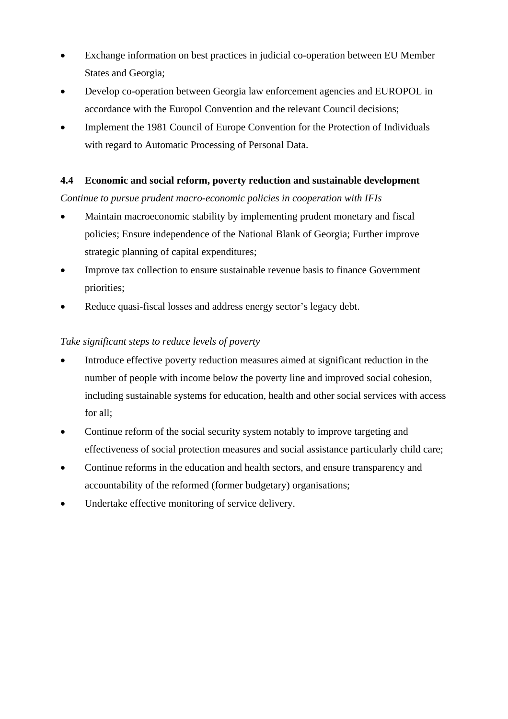- Exchange information on best practices in judicial co-operation between EU Member States and Georgia;
- Develop co-operation between Georgia law enforcement agencies and EUROPOL in accordance with the Europol Convention and the relevant Council decisions;
- Implement the 1981 Council of Europe Convention for the Protection of Individuals with regard to Automatic Processing of Personal Data.

#### **4.4 Economic and social reform, poverty reduction and sustainable development**

*Continue to pursue prudent macro-economic policies in cooperation with IFIs* 

- Maintain macroeconomic stability by implementing prudent monetary and fiscal policies; Ensure independence of the National Blank of Georgia; Further improve strategic planning of capital expenditures;
- Improve tax collection to ensure sustainable revenue basis to finance Government priorities;
- Reduce quasi-fiscal losses and address energy sector's legacy debt.

## *Take significant steps to reduce levels of poverty*

- Introduce effective poverty reduction measures aimed at significant reduction in the number of people with income below the poverty line and improved social cohesion, including sustainable systems for education, health and other social services with access for all;
- Continue reform of the social security system notably to improve targeting and effectiveness of social protection measures and social assistance particularly child care;
- Continue reforms in the education and health sectors, and ensure transparency and accountability of the reformed (former budgetary) organisations;
- Undertake effective monitoring of service delivery.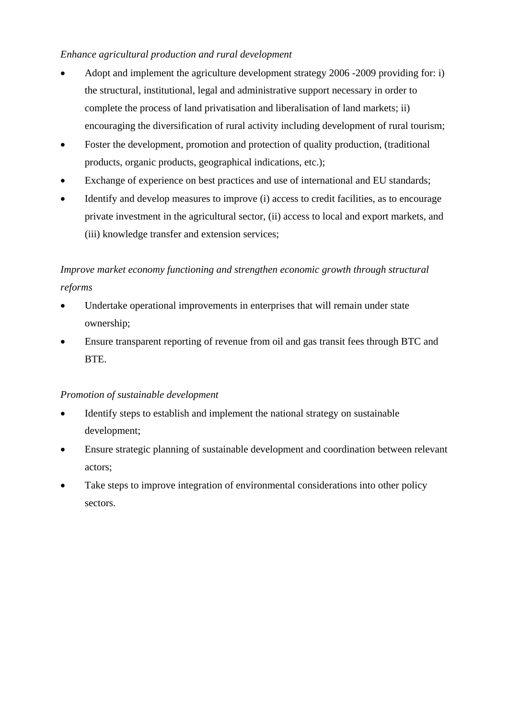## *Enhance agricultural production and rural development*

- Adopt and implement the agriculture development strategy 2006 -2009 providing for: i) the structural, institutional, legal and administrative support necessary in order to complete the process of land privatisation and liberalisation of land markets; ii) encouraging the diversification of rural activity including development of rural tourism;
- Foster the development, promotion and protection of quality production, (traditional products, organic products, geographical indications, etc.);
- Exchange of experience on best practices and use of international and EU standards;
- Identify and develop measures to improve (i) access to credit facilities, as to encourage private investment in the agricultural sector, (ii) access to local and export markets, and (iii) knowledge transfer and extension services;

## *Improve market economy functioning and strengthen economic growth through structural reforms*

- Undertake operational improvements in enterprises that will remain under state ownership;
- Ensure transparent reporting of revenue from oil and gas transit fees through BTC and BTE.

#### *Promotion of sustainable development*

- Identify steps to establish and implement the national strategy on sustainable development;
- Ensure strategic planning of sustainable development and coordination between relevant actors;
- Take steps to improve integration of environmental considerations into other policy sectors.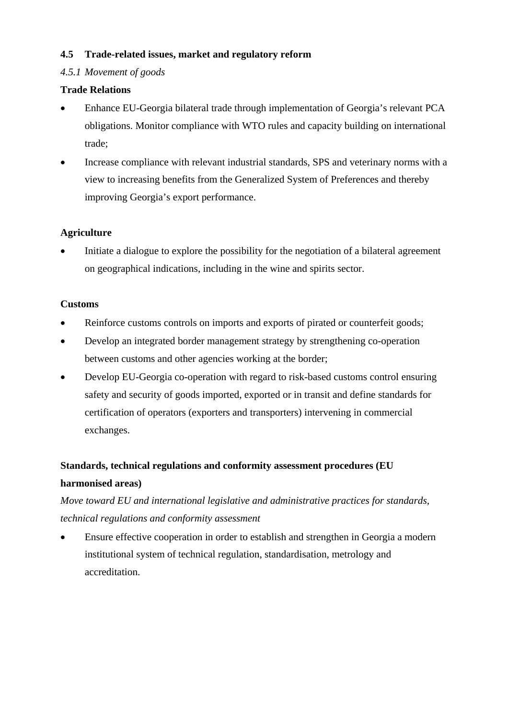#### **4.5 Trade-related issues, market and regulatory reform**

## *4.5.1 Movement of goods*

## **Trade Relations**

- Enhance EU-Georgia bilateral trade through implementation of Georgia's relevant PCA obligations. Monitor compliance with WTO rules and capacity building on international trade;
- Increase compliance with relevant industrial standards, SPS and veterinary norms with a view to increasing benefits from the Generalized System of Preferences and thereby improving Georgia's export performance.

## **Agriculture**

• Initiate a dialogue to explore the possibility for the negotiation of a bilateral agreement on geographical indications, including in the wine and spirits sector.

#### **Customs**

- Reinforce customs controls on imports and exports of pirated or counterfeit goods;
- Develop an integrated border management strategy by strengthening co-operation between customs and other agencies working at the border;
- Develop EU-Georgia co-operation with regard to risk-based customs control ensuring safety and security of goods imported, exported or in transit and define standards for certification of operators (exporters and transporters) intervening in commercial exchanges.

## **Standards, technical regulations and conformity assessment procedures (EU harmonised areas)**

*Move toward EU and international legislative and administrative practices for standards, technical regulations and conformity assessment* 

• Ensure effective cooperation in order to establish and strengthen in Georgia a modern institutional system of technical regulation, standardisation, metrology and accreditation.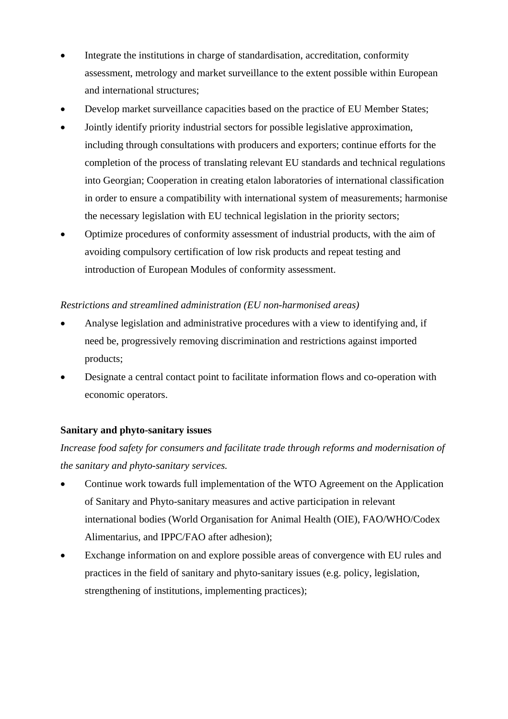- Integrate the institutions in charge of standardisation, accreditation, conformity assessment, metrology and market surveillance to the extent possible within European and international structures;
- Develop market surveillance capacities based on the practice of EU Member States;
- Jointly identify priority industrial sectors for possible legislative approximation, including through consultations with producers and exporters; continue efforts for the completion of the process of translating relevant EU standards and technical regulations into Georgian; Cooperation in creating etalon laboratories of international classification in order to ensure a compatibility with international system of measurements; harmonise the necessary legislation with EU technical legislation in the priority sectors;
- Optimize procedures of conformity assessment of industrial products, with the aim of avoiding compulsory certification of low risk products and repeat testing and introduction of European Modules of conformity assessment.

#### *Restrictions and streamlined administration (EU non-harmonised areas)*

- Analyse legislation and administrative procedures with a view to identifying and, if need be, progressively removing discrimination and restrictions against imported products;
- Designate a central contact point to facilitate information flows and co-operation with economic operators.

## **Sanitary and phyto-sanitary issues**

*Increase food safety for consumers and facilitate trade through reforms and modernisation of the sanitary and phyto-sanitary services.* 

- Continue work towards full implementation of the WTO Agreement on the Application of Sanitary and Phyto-sanitary measures and active participation in relevant international bodies (World Organisation for Animal Health (OIE), FAO/WHO/Codex Alimentarius, and IPPC/FAO after adhesion);
- Exchange information on and explore possible areas of convergence with EU rules and practices in the field of sanitary and phyto-sanitary issues (e.g. policy, legislation, strengthening of institutions, implementing practices);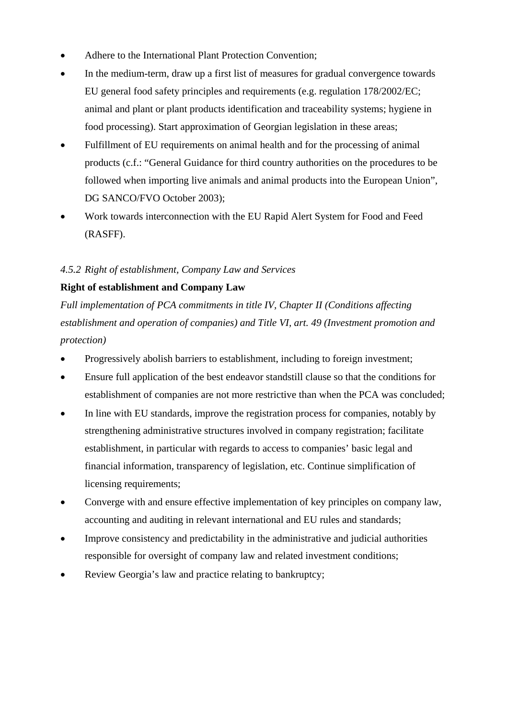- Adhere to the International Plant Protection Convention;
- In the medium-term, draw up a first list of measures for gradual convergence towards EU general food safety principles and requirements (e.g. regulation 178/2002/EC; animal and plant or plant products identification and traceability systems; hygiene in food processing). Start approximation of Georgian legislation in these areas;
- Fulfillment of EU requirements on animal health and for the processing of animal products (c.f.: "General Guidance for third country authorities on the procedures to be followed when importing live animals and animal products into the European Union", DG SANCO/FVO October 2003);
- Work towards interconnection with the EU Rapid Alert System for Food and Feed (RASFF).

#### *4.5.2 Right of establishment, Company Law and Services*

## **Right of establishment and Company Law**

*Full implementation of PCA commitments in title IV, Chapter II (Conditions affecting establishment and operation of companies) and Title VI, art. 49 (Investment promotion and protection)* 

- Progressively abolish barriers to establishment, including to foreign investment;
- Ensure full application of the best endeavor standstill clause so that the conditions for establishment of companies are not more restrictive than when the PCA was concluded;
- In line with EU standards, improve the registration process for companies, notably by strengthening administrative structures involved in company registration; facilitate establishment, in particular with regards to access to companies' basic legal and financial information, transparency of legislation, etc. Continue simplification of licensing requirements;
- Converge with and ensure effective implementation of key principles on company law, accounting and auditing in relevant international and EU rules and standards;
- Improve consistency and predictability in the administrative and judicial authorities responsible for oversight of company law and related investment conditions;
- Review Georgia's law and practice relating to bankruptcy;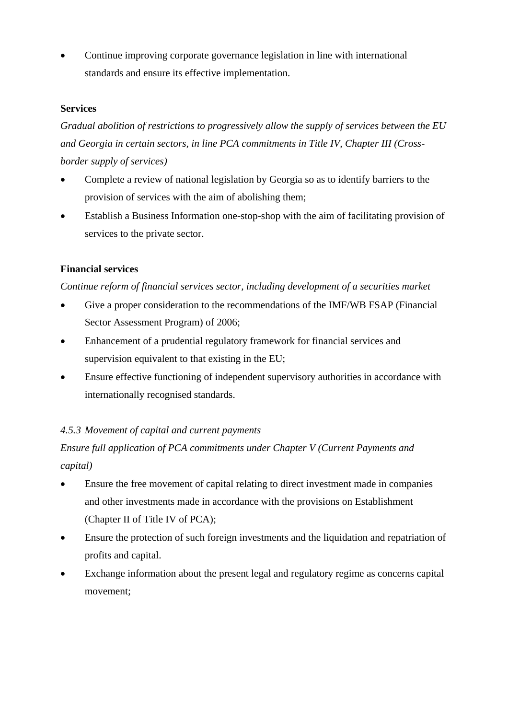• Continue improving corporate governance legislation in line with international standards and ensure its effective implementation.

#### **Services**

*Gradual abolition of restrictions to progressively allow the supply of services between the EU and Georgia in certain sectors, in line PCA commitments in Title IV, Chapter III (Crossborder supply of services)* 

- Complete a review of national legislation by Georgia so as to identify barriers to the provision of services with the aim of abolishing them;
- Establish a Business Information one-stop-shop with the aim of facilitating provision of services to the private sector.

#### **Financial services**

#### *Continue reform of financial services sector, including development of a securities market*

- Give a proper consideration to the recommendations of the IMF/WB FSAP (Financial Sector Assessment Program) of 2006;
- Enhancement of a prudential regulatory framework for financial services and supervision equivalent to that existing in the EU;
- Ensure effective functioning of independent supervisory authorities in accordance with internationally recognised standards.

#### *4.5.3 Movement of capital and current payments*

## *Ensure full application of PCA commitments under Chapter V (Current Payments and capital)*

- Ensure the free movement of capital relating to direct investment made in companies and other investments made in accordance with the provisions on Establishment (Chapter II of Title IV of PCA);
- Ensure the protection of such foreign investments and the liquidation and repatriation of profits and capital.
- Exchange information about the present legal and regulatory regime as concerns capital movement;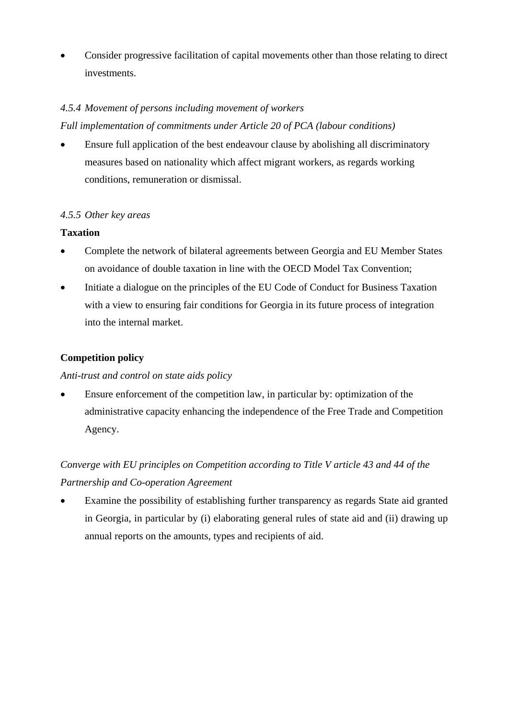• Consider progressive facilitation of capital movements other than those relating to direct investments.

## *4.5.4 Movement of persons including movement of workers*

*Full implementation of commitments under Article 20 of PCA (labour conditions)* 

• Ensure full application of the best endeavour clause by abolishing all discriminatory measures based on nationality which affect migrant workers, as regards working conditions, remuneration or dismissal.

## *4.5.5 Other key areas*

#### **Taxation**

- Complete the network of bilateral agreements between Georgia and EU Member States on avoidance of double taxation in line with the OECD Model Tax Convention;
- Initiate a dialogue on the principles of the EU Code of Conduct for Business Taxation with a view to ensuring fair conditions for Georgia in its future process of integration into the internal market.

## **Competition policy**

#### *Anti-trust and control on state aids policy*

• Ensure enforcement of the competition law, in particular by: optimization of the administrative capacity enhancing the independence of the Free Trade and Competition Agency.

# *Converge with EU principles on Competition according to Title V article 43 and 44 of the Partnership and Co-operation Agreement*

Examine the possibility of establishing further transparency as regards State aid granted in Georgia, in particular by (i) elaborating general rules of state aid and (ii) drawing up annual reports on the amounts, types and recipients of aid.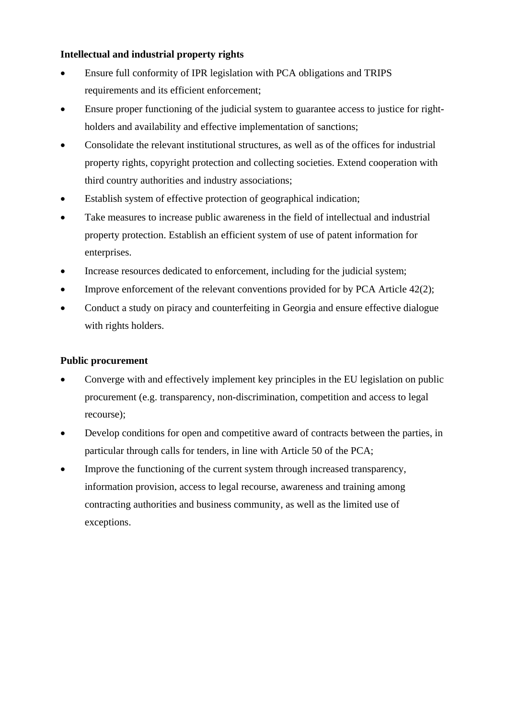#### **Intellectual and industrial property rights**

- Ensure full conformity of IPR legislation with PCA obligations and TRIPS requirements and its efficient enforcement;
- Ensure proper functioning of the judicial system to guarantee access to justice for rightholders and availability and effective implementation of sanctions;
- Consolidate the relevant institutional structures, as well as of the offices for industrial property rights, copyright protection and collecting societies. Extend cooperation with third country authorities and industry associations;
- Establish system of effective protection of geographical indication;
- Take measures to increase public awareness in the field of intellectual and industrial property protection. Establish an efficient system of use of patent information for enterprises.
- Increase resources dedicated to enforcement, including for the judicial system;
- Improve enforcement of the relevant conventions provided for by PCA Article 42(2);
- Conduct a study on piracy and counterfeiting in Georgia and ensure effective dialogue with rights holders.

#### **Public procurement**

- Converge with and effectively implement key principles in the EU legislation on public procurement (e.g. transparency, non-discrimination, competition and access to legal recourse);
- Develop conditions for open and competitive award of contracts between the parties, in particular through calls for tenders, in line with Article 50 of the PCA;
- Improve the functioning of the current system through increased transparency, information provision, access to legal recourse, awareness and training among contracting authorities and business community, as well as the limited use of exceptions.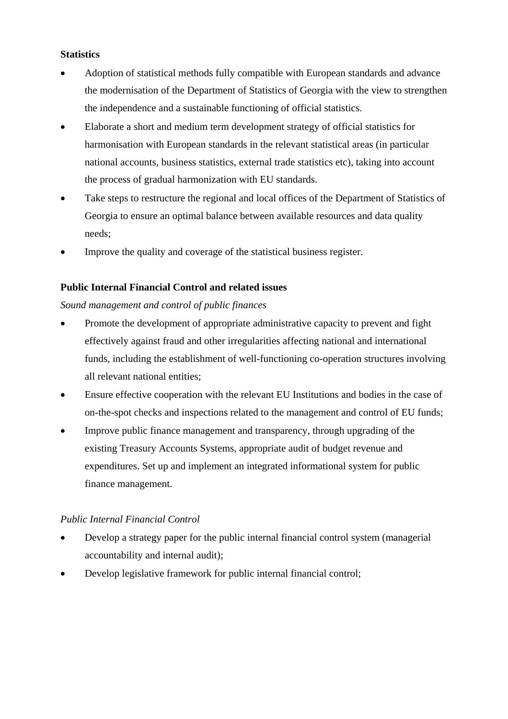#### **Statistics**

- Adoption of statistical methods fully compatible with European standards and advance the modernisation of the Department of Statistics of Georgia with the view to strengthen the independence and a sustainable functioning of official statistics.
- Elaborate a short and medium term development strategy of official statistics for harmonisation with European standards in the relevant statistical areas (in particular national accounts, business statistics, external trade statistics etc), taking into account the process of gradual harmonization with EU standards.
- Take steps to restructure the regional and local offices of the Department of Statistics of Georgia to ensure an optimal balance between available resources and data quality needs;
- Improve the quality and coverage of the statistical business register.

#### **Public Internal Financial Control and related issues**

#### *Sound management and control of public finances*

- Promote the development of appropriate administrative capacity to prevent and fight effectively against fraud and other irregularities affecting national and international funds, including the establishment of well-functioning co-operation structures involving all relevant national entities;
- Ensure effective cooperation with the relevant EU Institutions and bodies in the case of on-the-spot checks and inspections related to the management and control of EU funds;
- Improve public finance management and transparency, through upgrading of the existing Treasury Accounts Systems, appropriate audit of budget revenue and expenditures. Set up and implement an integrated informational system for public finance management.

#### *Public Internal Financial Control*

- Develop a strategy paper for the public internal financial control system (managerial accountability and internal audit);
- Develop legislative framework for public internal financial control;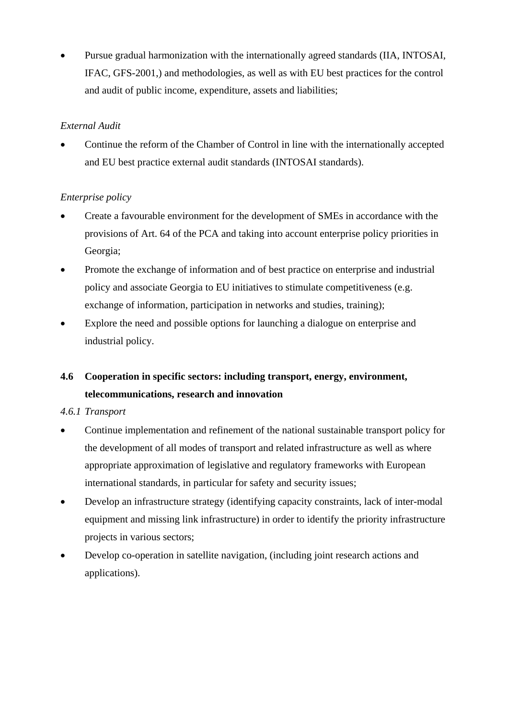• Pursue gradual harmonization with the internationally agreed standards (IIA, INTOSAI, IFAC, GFS-2001,) and methodologies, as well as with EU best practices for the control and audit of public income, expenditure, assets and liabilities;

## *External Audit*

• Continue the reform of the Chamber of Control in line with the internationally accepted and EU best practice external audit standards (INTOSAI standards).

## *Enterprise policy*

- Create a favourable environment for the development of SMEs in accordance with the provisions of Art. 64 of the PCA and taking into account enterprise policy priorities in Georgia;
- Promote the exchange of information and of best practice on enterprise and industrial policy and associate Georgia to EU initiatives to stimulate competitiveness (e.g. exchange of information, participation in networks and studies, training);
- Explore the need and possible options for launching a dialogue on enterprise and industrial policy.

# **4.6 Cooperation in specific sectors: including transport, energy, environment, telecommunications, research and innovation**

#### *4.6.1 Transport*

- Continue implementation and refinement of the national sustainable transport policy for the development of all modes of transport and related infrastructure as well as where appropriate approximation of legislative and regulatory frameworks with European international standards, in particular for safety and security issues;
- Develop an infrastructure strategy (identifying capacity constraints, lack of inter-modal equipment and missing link infrastructure) in order to identify the priority infrastructure projects in various sectors;
- Develop co-operation in satellite navigation, (including joint research actions and applications).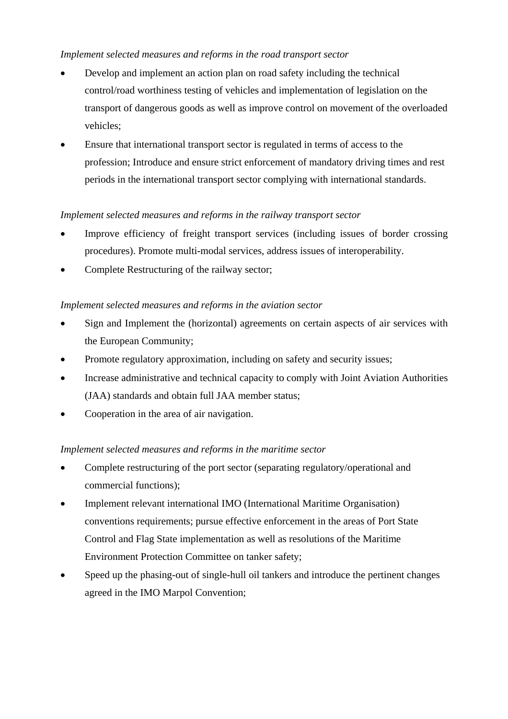## *Implement selected measures and reforms in the road transport sector*

- Develop and implement an action plan on road safety including the technical control/road worthiness testing of vehicles and implementation of legislation on the transport of dangerous goods as well as improve control on movement of the overloaded vehicles;
- Ensure that international transport sector is regulated in terms of access to the profession; Introduce and ensure strict enforcement of mandatory driving times and rest periods in the international transport sector complying with international standards.

## *Implement selected measures and reforms in the railway transport sector*

- Improve efficiency of freight transport services (including issues of border crossing procedures). Promote multi-modal services, address issues of interoperability.
- Complete Restructuring of the railway sector:

## *Implement selected measures and reforms in the aviation sector*

- Sign and Implement the (horizontal) agreements on certain aspects of air services with the European Community;
- Promote regulatory approximation, including on safety and security issues;
- Increase administrative and technical capacity to comply with Joint Aviation Authorities (JAA) standards and obtain full JAA member status;
- Cooperation in the area of air navigation.

#### *Implement selected measures and reforms in the maritime sector*

- Complete restructuring of the port sector (separating regulatory/operational and commercial functions);
- Implement relevant international IMO (International Maritime Organisation) conventions requirements; pursue effective enforcement in the areas of Port State Control and Flag State implementation as well as resolutions of the Maritime Environment Protection Committee on tanker safety;
- Speed up the phasing-out of single-hull oil tankers and introduce the pertinent changes agreed in the IMO Marpol Convention;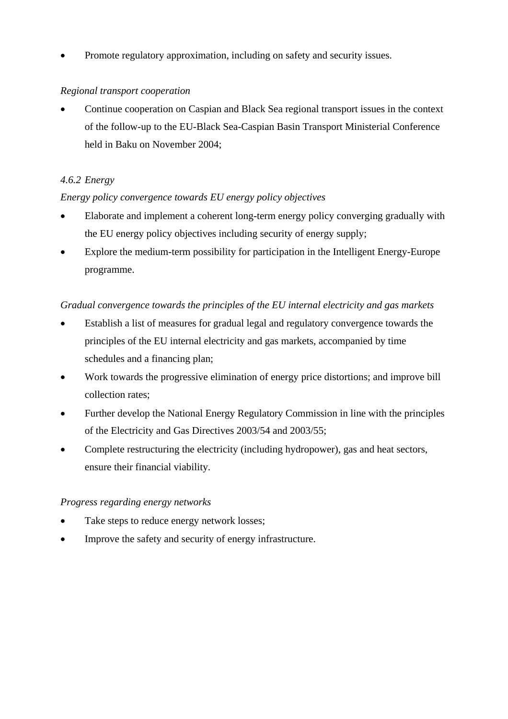• Promote regulatory approximation, including on safety and security issues.

## *Regional transport cooperation*

• Continue cooperation on Caspian and Black Sea regional transport issues in the context of the follow-up to the EU-Black Sea-Caspian Basin Transport Ministerial Conference held in Baku on November 2004;

## *4.6.2 Energy*

## *Energy policy convergence towards EU energy policy objectives*

- Elaborate and implement a coherent long-term energy policy converging gradually with the EU energy policy objectives including security of energy supply;
- Explore the medium-term possibility for participation in the Intelligent Energy-Europe programme.

## *Gradual convergence towards the principles of the EU internal electricity and gas markets*

- Establish a list of measures for gradual legal and regulatory convergence towards the principles of the EU internal electricity and gas markets, accompanied by time schedules and a financing plan;
- Work towards the progressive elimination of energy price distortions; and improve bill collection rates;
- Further develop the National Energy Regulatory Commission in line with the principles of the Electricity and Gas Directives 2003/54 and 2003/55;
- Complete restructuring the electricity (including hydropower), gas and heat sectors, ensure their financial viability.

#### *Progress regarding energy networks*

- Take steps to reduce energy network losses;
- Improve the safety and security of energy infrastructure.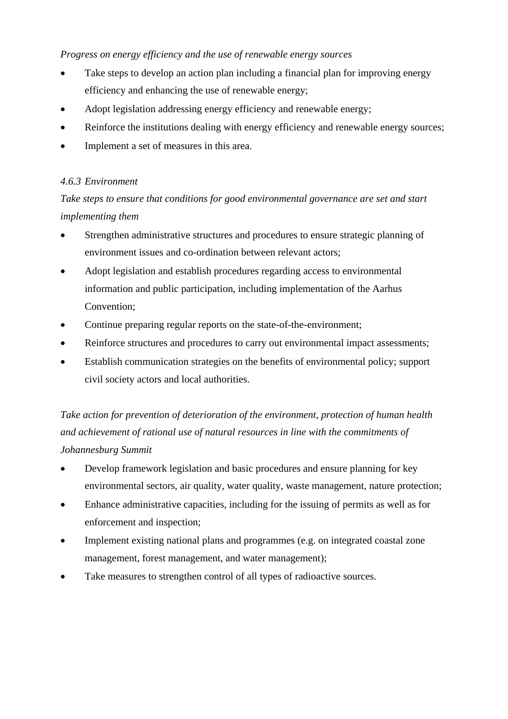#### *Progress on energy efficiency and the use of renewable energy sources*

- Take steps to develop an action plan including a financial plan for improving energy efficiency and enhancing the use of renewable energy;
- Adopt legislation addressing energy efficiency and renewable energy;
- Reinforce the institutions dealing with energy efficiency and renewable energy sources;
- Implement a set of measures in this area.

## *4.6.3 Environment*

*Take steps to ensure that conditions for good environmental governance are set and start implementing them* 

- Strengthen administrative structures and procedures to ensure strategic planning of environment issues and co-ordination between relevant actors;
- Adopt legislation and establish procedures regarding access to environmental information and public participation, including implementation of the Aarhus Convention;
- Continue preparing regular reports on the state-of-the-environment;
- Reinforce structures and procedures to carry out environmental impact assessments;
- Establish communication strategies on the benefits of environmental policy; support civil society actors and local authorities.

*Take action for prevention of deterioration of the environment, protection of human health and achievement of rational use of natural resources in line with the commitments of Johannesburg Summit* 

- Develop framework legislation and basic procedures and ensure planning for key environmental sectors, air quality, water quality, waste management, nature protection;
- Enhance administrative capacities, including for the issuing of permits as well as for enforcement and inspection;
- Implement existing national plans and programmes (e.g. on integrated coastal zone management, forest management, and water management);
- Take measures to strengthen control of all types of radioactive sources.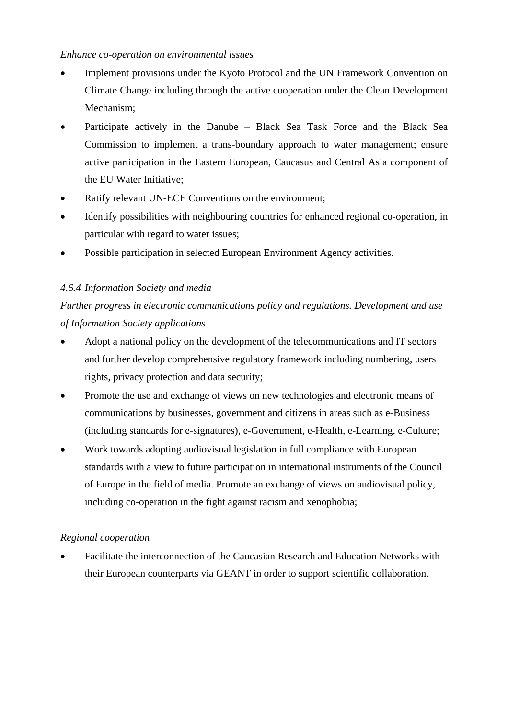#### *Enhance co-operation on environmental issues*

- Implement provisions under the Kyoto Protocol and the UN Framework Convention on Climate Change including through the active cooperation under the Clean Development Mechanism;
- Participate actively in the Danube Black Sea Task Force and the Black Sea Commission to implement a trans-boundary approach to water management; ensure active participation in the Eastern European, Caucasus and Central Asia component of the EU Water Initiative;
- Ratify relevant UN-ECE Conventions on the environment;
- Identify possibilities with neighbouring countries for enhanced regional co-operation, in particular with regard to water issues;
- Possible participation in selected European Environment Agency activities.

## *4.6.4 Information Society and media*

*Further progress in electronic communications policy and regulations. Development and use of Information Society applications* 

- Adopt a national policy on the development of the telecommunications and IT sectors and further develop comprehensive regulatory framework including numbering, users rights, privacy protection and data security;
- Promote the use and exchange of views on new technologies and electronic means of communications by businesses, government and citizens in areas such as e-Business (including standards for e-signatures), e-Government, e-Health, e-Learning, e-Culture;
- Work towards adopting audiovisual legislation in full compliance with European standards with a view to future participation in international instruments of the Council of Europe in the field of media. Promote an exchange of views on audiovisual policy, including co-operation in the fight against racism and xenophobia;

#### *Regional cooperation*

• Facilitate the interconnection of the Caucasian Research and Education Networks with their European counterparts via GEANT in order to support scientific collaboration.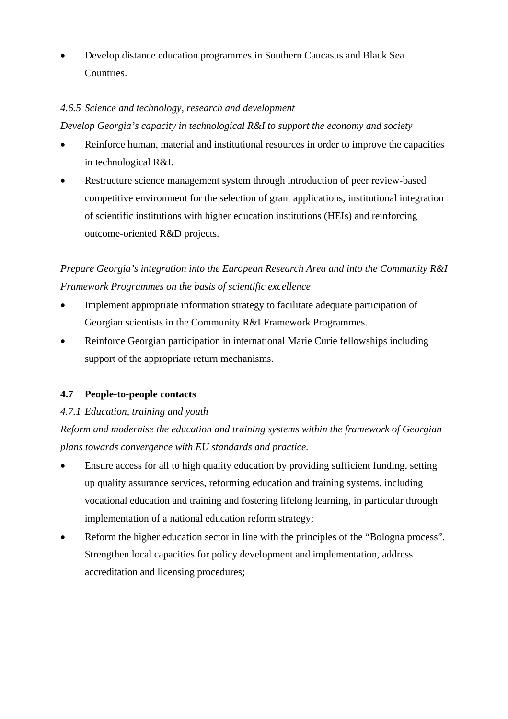• Develop distance education programmes in Southern Caucasus and Black Sea Countries.

### *4.6.5 Science and technology, research and development*

*Develop Georgia's capacity in technological R&I to support the economy and society* 

- Reinforce human, material and institutional resources in order to improve the capacities in technological R&I.
- Restructure science management system through introduction of peer review-based competitive environment for the selection of grant applications, institutional integration of scientific institutions with higher education institutions (HEIs) and reinforcing outcome-oriented R&D projects.

*Prepare Georgia's integration into the European Research Area and into the Community R&I Framework Programmes on the basis of scientific excellence* 

- Implement appropriate information strategy to facilitate adequate participation of Georgian scientists in the Community R&I Framework Programmes.
- Reinforce Georgian participation in international Marie Curie fellowships including support of the appropriate return mechanisms.

## **4.7 People-to-people contacts**

## *4.7.1 Education, training and youth*

*Reform and modernise the education and training systems within the framework of Georgian plans towards convergence with EU standards and practice.* 

- Ensure access for all to high quality education by providing sufficient funding, setting up quality assurance services, reforming education and training systems, including vocational education and training and fostering lifelong learning, in particular through implementation of a national education reform strategy;
- Reform the higher education sector in line with the principles of the "Bologna process". Strengthen local capacities for policy development and implementation, address accreditation and licensing procedures;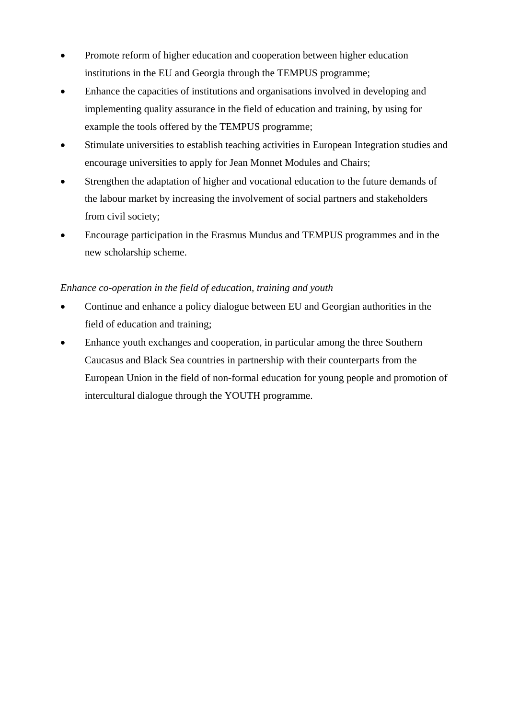- Promote reform of higher education and cooperation between higher education institutions in the EU and Georgia through the TEMPUS programme;
- Enhance the capacities of institutions and organisations involved in developing and implementing quality assurance in the field of education and training, by using for example the tools offered by the TEMPUS programme;
- Stimulate universities to establish teaching activities in European Integration studies and encourage universities to apply for Jean Monnet Modules and Chairs;
- Strengthen the adaptation of higher and vocational education to the future demands of the labour market by increasing the involvement of social partners and stakeholders from civil society;
- Encourage participation in the Erasmus Mundus and TEMPUS programmes and in the new scholarship scheme.

#### *Enhance co-operation in the field of education, training and youth*

- Continue and enhance a policy dialogue between EU and Georgian authorities in the field of education and training;
- Enhance youth exchanges and cooperation, in particular among the three Southern Caucasus and Black Sea countries in partnership with their counterparts from the European Union in the field of non-formal education for young people and promotion of intercultural dialogue through the YOUTH programme.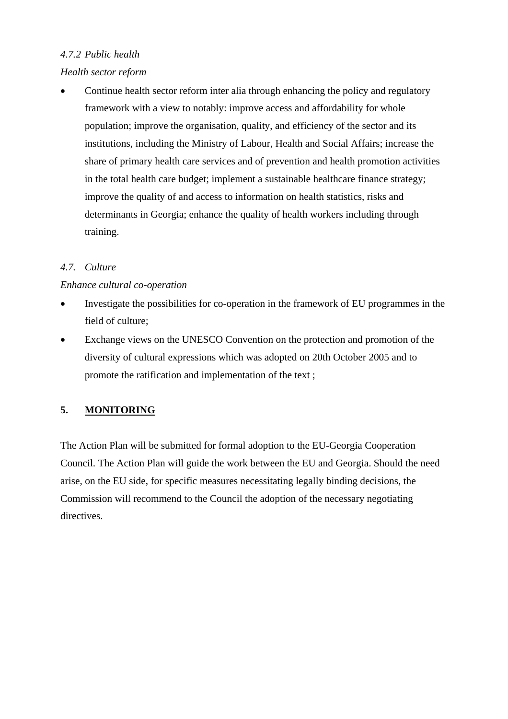## *4.7.2 Public health*

## *Health sector reform*

• Continue health sector reform inter alia through enhancing the policy and regulatory framework with a view to notably: improve access and affordability for whole population; improve the organisation, quality, and efficiency of the sector and its institutions, including the Ministry of Labour, Health and Social Affairs; increase the share of primary health care services and of prevention and health promotion activities in the total health care budget; implement a sustainable healthcare finance strategy; improve the quality of and access to information on health statistics, risks and determinants in Georgia; enhance the quality of health workers including through training.

## *4.7. Culture*

## *Enhance cultural co-operation*

- Investigate the possibilities for co-operation in the framework of EU programmes in the field of culture;
- Exchange views on the UNESCO Convention on the protection and promotion of the diversity of cultural expressions which was adopted on 20th October 2005 and to promote the ratification and implementation of the text ;

## **5. MONITORING**

The Action Plan will be submitted for formal adoption to the EU-Georgia Cooperation Council. The Action Plan will guide the work between the EU and Georgia. Should the need arise, on the EU side, for specific measures necessitating legally binding decisions, the Commission will recommend to the Council the adoption of the necessary negotiating directives.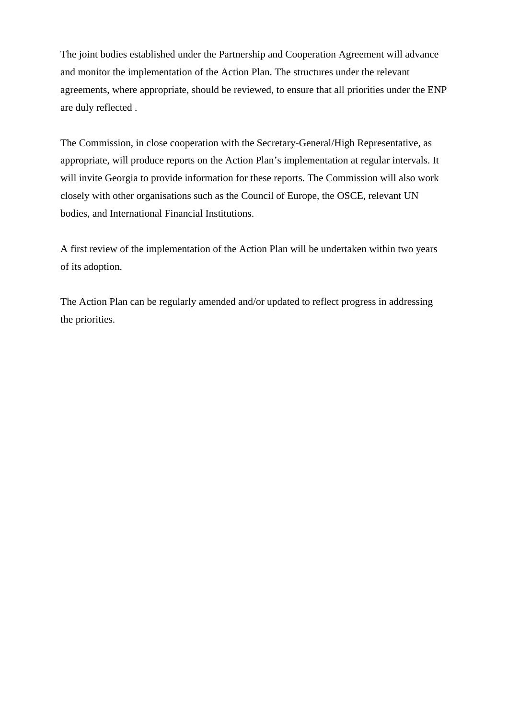The joint bodies established under the Partnership and Cooperation Agreement will advance and monitor the implementation of the Action Plan. The structures under the relevant agreements, where appropriate, should be reviewed, to ensure that all priorities under the ENP are duly reflected .

The Commission, in close cooperation with the Secretary-General/High Representative, as appropriate, will produce reports on the Action Plan's implementation at regular intervals. It will invite Georgia to provide information for these reports. The Commission will also work closely with other organisations such as the Council of Europe, the OSCE, relevant UN bodies, and International Financial Institutions.

A first review of the implementation of the Action Plan will be undertaken within two years of its adoption.

The Action Plan can be regularly amended and/or updated to reflect progress in addressing the priorities.